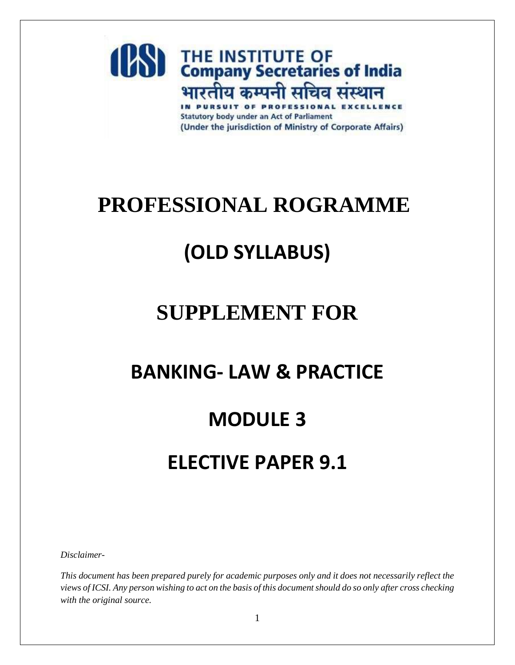

## **PROFESSIONAL ROGRAMME**

# **(OLD SYLLABUS)**

# **SUPPLEMENT FOR**

## **BANKING- LAW & PRACTICE**

## **MODULE 3**

# **ELECTIVE PAPER 9.1**

*Disclaimer-*

*This document has been prepared purely for academic purposes only and it does not necessarily reflect the views of ICSI. Any person wishing to act on the basis of this document should do so only after cross checking with the original source.*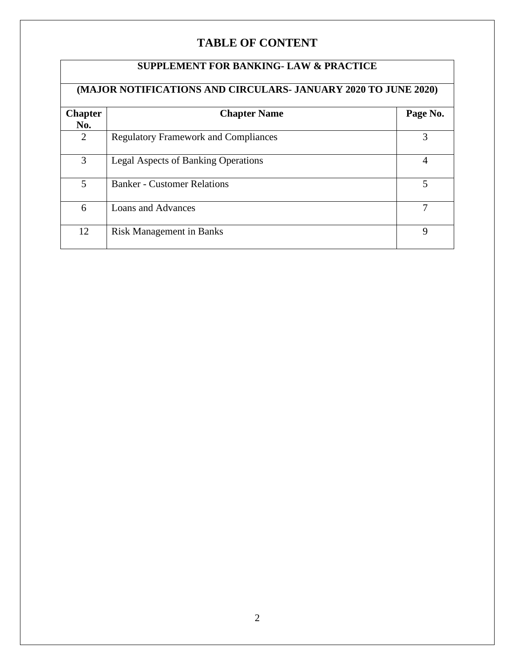## **TABLE OF CONTENT**

| <b>SUPPLEMENT FOR BANKING- LAW &amp; PRACTICE</b>              |                                             |          |
|----------------------------------------------------------------|---------------------------------------------|----------|
| (MAJOR NOTIFICATIONS AND CIRCULARS- JANUARY 2020 TO JUNE 2020) |                                             |          |
| <b>Chapter</b><br>No.                                          | <b>Chapter Name</b>                         | Page No. |
| $\overline{2}$                                                 | <b>Regulatory Framework and Compliances</b> | 3        |
| 3                                                              | <b>Legal Aspects of Banking Operations</b>  | 4        |
| 5                                                              | <b>Banker - Customer Relations</b>          | 5        |
| 6                                                              | Loans and Advances                          | 7        |
| 12                                                             | <b>Risk Management in Banks</b>             | 9        |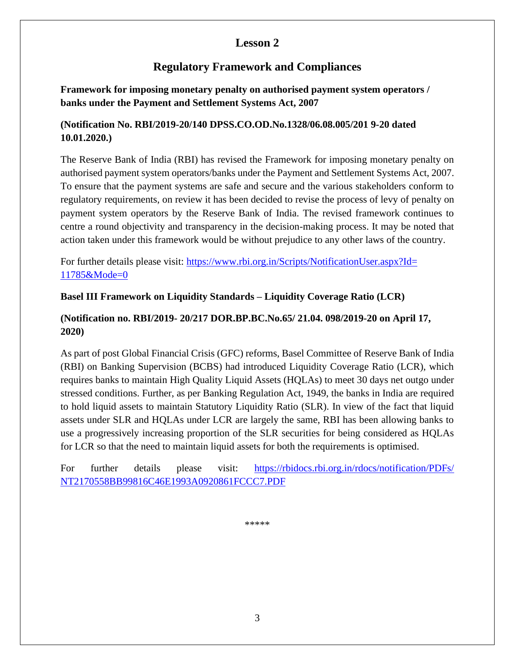### **Regulatory Framework and Compliances**

**Framework for imposing monetary penalty on authorised payment system operators / banks under the Payment and Settlement Systems Act, 2007**

#### **(Notification No. RBI/2019-20/140 DPSS.CO.OD.No.1328/06.08.005/201 9-20 dated 10.01.2020.)**

The Reserve Bank of India (RBI) has revised the Framework for imposing monetary penalty on authorised payment system operators/banks under the Payment and Settlement Systems Act, 2007. To ensure that the payment systems are safe and secure and the various stakeholders conform to regulatory requirements, on review it has been decided to revise the process of levy of penalty on payment system operators by the Reserve Bank of India. The revised framework continues to centre a round objectivity and transparency in the decision-making process. It may be noted that action taken under this framework would be without prejudice to any other laws of the country.

For further details please visit: [https://www.rbi.org.in/Scripts/NotificationUser.aspx?Id=](https://www.rbi.org.in/Scripts/NotificationUser.aspx?Id=%2011785&Mode=0)  [11785&Mode=0](https://www.rbi.org.in/Scripts/NotificationUser.aspx?Id=%2011785&Mode=0)

#### **Basel III Framework on Liquidity Standards – Liquidity Coverage Ratio (LCR)**

#### **(Notification no. RBI/2019- 20/217 DOR.BP.BC.No.65/ 21.04. 098/2019-20 on April 17, 2020)**

As part of post Global Financial Crisis (GFC) reforms, Basel Committee of Reserve Bank of India (RBI) on Banking Supervision (BCBS) had introduced Liquidity Coverage Ratio (LCR), which requires banks to maintain High Quality Liquid Assets (HQLAs) to meet 30 days net outgo under stressed conditions. Further, as per Banking Regulation Act, 1949, the banks in India are required to hold liquid assets to maintain Statutory Liquidity Ratio (SLR). In view of the fact that liquid assets under SLR and HQLAs under LCR are largely the same, RBI has been allowing banks to use a progressively increasing proportion of the SLR securities for being considered as HQLAs for LCR so that the need to maintain liquid assets for both the requirements is optimised.

For further details please visit: [https://rbidocs.rbi.org.in/rdocs/notification/PDFs/](https://rbidocs.rbi.org.in/rdocs/notification/PDFs/%20NT2170558BB99816C46E1993A0920861FCCC7.PDF)  [NT2170558BB99816C46E1993A0920861FCCC7.PDF](https://rbidocs.rbi.org.in/rdocs/notification/PDFs/%20NT2170558BB99816C46E1993A0920861FCCC7.PDF)

\*\*\*\*\*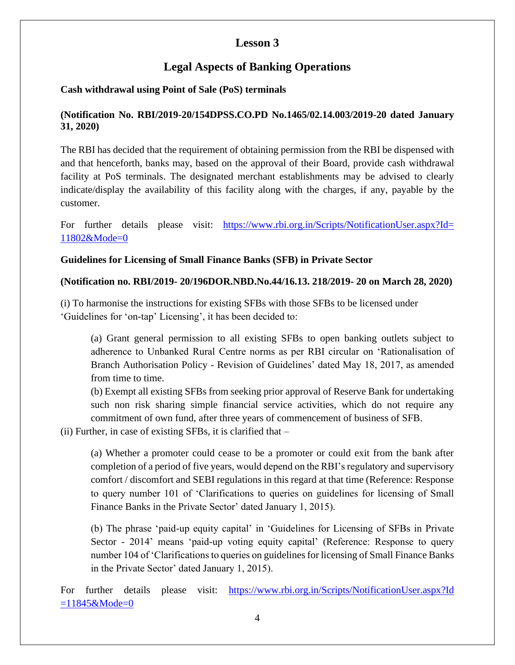## **Legal Aspects of Banking Operations**

#### **Cash withdrawal using Point of Sale (PoS) terminals**

#### **(Notification No. RBI/2019-20/154DPSS.CO.PD No.1465/02.14.003/2019-20 dated January 31, 2020)**

The RBI has decided that the requirement of obtaining permission from the RBI be dispensed with and that henceforth, banks may, based on the approval of their Board, provide cash withdrawal facility at PoS terminals. The designated merchant establishments may be advised to clearly indicate/display the availability of this facility along with the charges, if any, payable by the customer.

For further details please visit: https://www.rbi.org.in/Scripts/NotificationUser.aspx?Id= [11802&Mode=0](https://www.rbi.org.in/Scripts/NotificationUser.aspx?Id=%2011802&Mode=0)

#### **Guidelines for Licensing of Small Finance Banks (SFB) in Private Sector**

#### **(Notification no. RBI/2019- 20/196DOR.NBD.No.44/16.13. 218/2019- 20 on March 28, 2020)**

(i) To harmonise the instructions for existing SFBs with those SFBs to be licensed under 'Guidelines for 'on-tap' Licensing', it has been decided to:

(a) Grant general permission to all existing SFBs to open banking outlets subject to adherence to Unbanked Rural Centre norms as per RBI circular on 'Rationalisation of Branch Authorisation Policy - Revision of Guidelines' dated May 18, 2017, as amended from time to time.

(b) Exempt all existing SFBs from seeking prior approval of Reserve Bank for undertaking such non risk sharing simple financial service activities, which do not require any commitment of own fund, after three years of commencement of business of SFB.

 $(ii)$  Further, in case of existing SFBs, it is clarified that  $-$ 

(a) Whether a promoter could cease to be a promoter or could exit from the bank after completion of a period of five years, would depend on the RBI's regulatory and supervisory comfort / discomfort and SEBI regulations in this regard at that time (Reference: Response to query number 101 of 'Clarifications to queries on guidelines for licensing of Small Finance Banks in the Private Sector' dated January 1, 2015).

(b) The phrase 'paid-up equity capital' in 'Guidelines for Licensing of SFBs in Private Sector - 2014' means 'paid-up voting equity capital' (Reference: Response to query number 104 of 'Clarifications to queries on guidelines for licensing of Small Finance Banks in the Private Sector' dated January 1, 2015).

For further details please visit: [https://www.rbi.org.in/Scripts/NotificationUser.aspx?Id](https://www.rbi.org.in/Scripts/NotificationUser.aspx?Id%20=11845&Mode=0)   $=11845\&$ Mode=0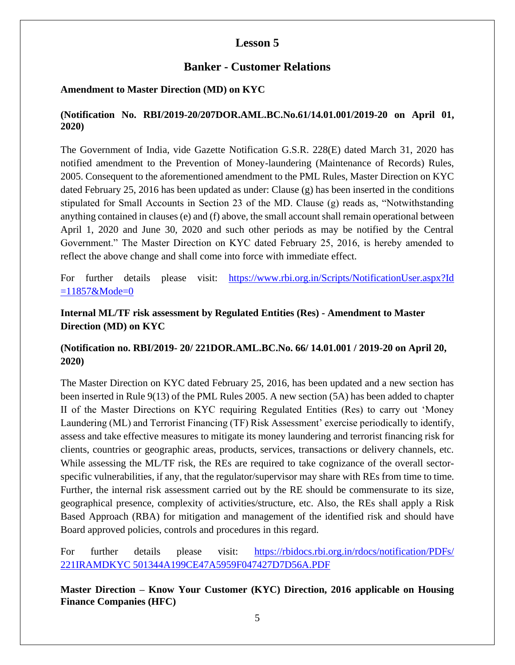#### **Banker - Customer Relations**

#### **Amendment to Master Direction (MD) on KYC**

#### **(Notification No. RBI/2019-20/207DOR.AML.BC.No.61/14.01.001/2019-20 on April 01, 2020)**

The Government of India, vide Gazette Notification G.S.R. 228(E) dated March 31, 2020 has notified amendment to the Prevention of Money-laundering (Maintenance of Records) Rules, 2005. Consequent to the aforementioned amendment to the PML Rules, Master Direction on KYC dated February 25, 2016 has been updated as under: Clause (g) has been inserted in the conditions stipulated for Small Accounts in Section 23 of the MD. Clause (g) reads as, "Notwithstanding anything contained in clauses (e) and (f) above, the small account shall remain operational between April 1, 2020 and June 30, 2020 and such other periods as may be notified by the Central Government." The Master Direction on KYC dated February 25, 2016, is hereby amended to reflect the above change and shall come into force with immediate effect.

For further details please visit: [https://www.rbi.org.in/Scripts/NotificationUser.aspx?Id](https://www.rbi.org.in/Scripts/NotificationUser.aspx?Id%20=11857&Mode=0)   $=11857$ &Mode=0

#### **Internal ML/TF risk assessment by Regulated Entities (Res) - Amendment to Master Direction (MD) on KYC**

#### **(Notification no. RBI/2019- 20/ 221DOR.AML.BC.No. 66/ 14.01.001 / 2019-20 on April 20, 2020)**

The Master Direction on KYC dated February 25, 2016, has been updated and a new section has been inserted in Rule 9(13) of the PML Rules 2005. A new section (5A) has been added to chapter II of the Master Directions on KYC requiring Regulated Entities (Res) to carry out 'Money Laundering (ML) and Terrorist Financing (TF) Risk Assessment' exercise periodically to identify, assess and take effective measures to mitigate its money laundering and terrorist financing risk for clients, countries or geographic areas, products, services, transactions or delivery channels, etc. While assessing the ML/TF risk, the REs are required to take cognizance of the overall sectorspecific vulnerabilities, if any, that the regulator/supervisor may share with REs from time to time. Further, the internal risk assessment carried out by the RE should be commensurate to its size, geographical presence, complexity of activities/structure, etc. Also, the REs shall apply a Risk Based Approach (RBA) for mitigation and management of the identified risk and should have Board approved policies, controls and procedures in this regard.

For further details please visit: [https://rbidocs.rbi.org.in/rdocs/notification/PDFs/](https://rbidocs.rbi.org.in/rdocs/notification/PDFs/%20221IRAMDKYC%20501344A199CE47A5959F047427D7D56A.PDF)  [221IRAMDKYC 501344A199CE47A5959F047427D7D56A.PDF](https://rbidocs.rbi.org.in/rdocs/notification/PDFs/%20221IRAMDKYC%20501344A199CE47A5959F047427D7D56A.PDF)

**Master Direction – Know Your Customer (KYC) Direction, 2016 applicable on Housing Finance Companies (HFC)**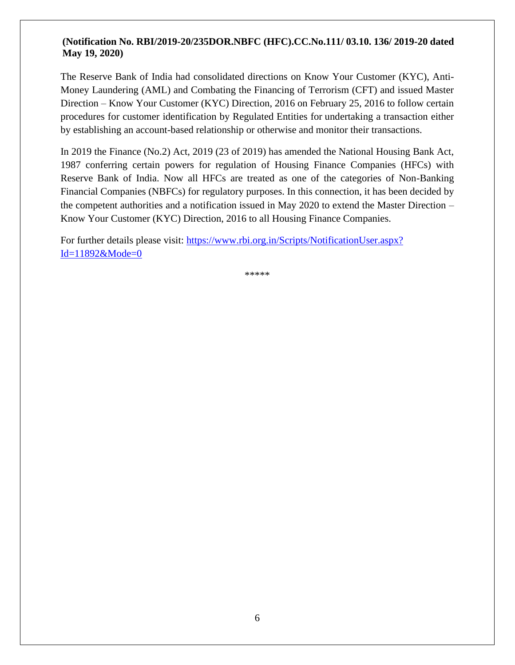#### **(Notification No. RBI/2019-20/235DOR.NBFC (HFC).CC.No.111/ 03.10. 136/ 2019-20 dated May 19, 2020)**

The Reserve Bank of India had consolidated directions on Know Your Customer (KYC), Anti-Money Laundering (AML) and Combating the Financing of Terrorism (CFT) and issued Master Direction – Know Your Customer (KYC) Direction, 2016 on February 25, 2016 to follow certain procedures for customer identification by Regulated Entities for undertaking a transaction either by establishing an account-based relationship or otherwise and monitor their transactions.

In 2019 the Finance (No.2) Act, 2019 (23 of 2019) has amended the National Housing Bank Act, 1987 conferring certain powers for regulation of Housing Finance Companies (HFCs) with Reserve Bank of India. Now all HFCs are treated as one of the categories of Non-Banking Financial Companies (NBFCs) for regulatory purposes. In this connection, it has been decided by the competent authorities and a notification issued in May 2020 to extend the Master Direction – Know Your Customer (KYC) Direction, 2016 to all Housing Finance Companies.

For further details please visit: [https://www.rbi.org.in/Scripts/NotificationUser.aspx?](https://www.rbi.org.in/Scripts/NotificationUser.aspx?%20Id=11892&Mode=0)   $Id=11892\&\text{Mode}=0$ 

\*\*\*\*\*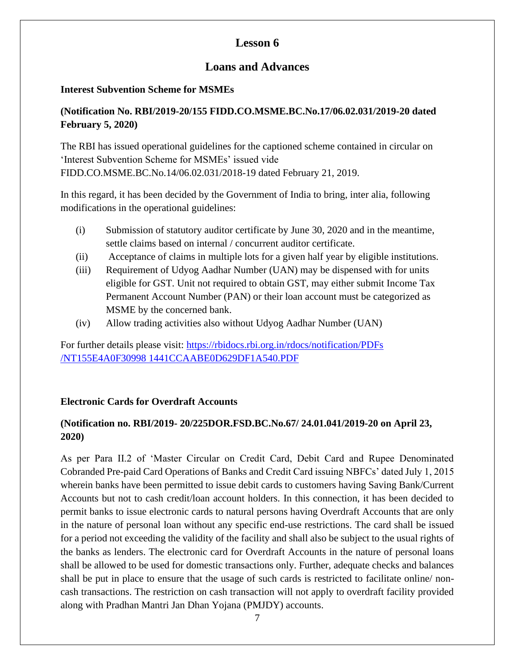#### **Loans and Advances**

#### **Interest Subvention Scheme for MSMEs**

#### **(Notification No. RBI/2019-20/155 FIDD.CO.MSME.BC.No.17/06.02.031/2019-20 dated February 5, 2020)**

The RBI has issued operational guidelines for the captioned scheme contained in circular on 'Interest Subvention Scheme for MSMEs' issued vide FIDD.CO.MSME.BC.No.14/06.02.031/2018-19 dated February 21, 2019.

In this regard, it has been decided by the Government of India to bring, inter alia, following modifications in the operational guidelines:

- (i) Submission of statutory auditor certificate by June 30, 2020 and in the meantime, settle claims based on internal / concurrent auditor certificate.
- (ii) Acceptance of claims in multiple lots for a given half year by eligible institutions.
- (iii) Requirement of Udyog Aadhar Number (UAN) may be dispensed with for units eligible for GST. Unit not required to obtain GST, may either submit Income Tax Permanent Account Number (PAN) or their loan account must be categorized as MSME by the concerned bank.
- (iv) Allow trading activities also without Udyog Aadhar Number (UAN)

For further details please visit: [https://rbidocs.rbi.org.in/rdocs/notification/PDFs](https://rbidocs.rbi.org.in/rdocs/notification/PDFs%20/NT155E4A0F30998%201441CCAABE0D629DF1A540.PDF)  [/NT155E4A0F30998 1441CCAABE0D629DF1A540.PDF](https://rbidocs.rbi.org.in/rdocs/notification/PDFs%20/NT155E4A0F30998%201441CCAABE0D629DF1A540.PDF)

#### **Electronic Cards for Overdraft Accounts**

#### **(Notification no. RBI/2019- 20/225DOR.FSD.BC.No.67/ 24.01.041/2019-20 on April 23, 2020)**

As per Para II.2 of 'Master Circular on Credit Card, Debit Card and Rupee Denominated Cobranded Pre-paid Card Operations of Banks and Credit Card issuing NBFCs' dated July 1, 2015 wherein banks have been permitted to issue debit cards to customers having Saving Bank/Current Accounts but not to cash credit/loan account holders. In this connection, it has been decided to permit banks to issue electronic cards to natural persons having Overdraft Accounts that are only in the nature of personal loan without any specific end-use restrictions. The card shall be issued for a period not exceeding the validity of the facility and shall also be subject to the usual rights of the banks as lenders. The electronic card for Overdraft Accounts in the nature of personal loans shall be allowed to be used for domestic transactions only. Further, adequate checks and balances shall be put in place to ensure that the usage of such cards is restricted to facilitate online/ noncash transactions. The restriction on cash transaction will not apply to overdraft facility provided along with Pradhan Mantri Jan Dhan Yojana (PMJDY) accounts.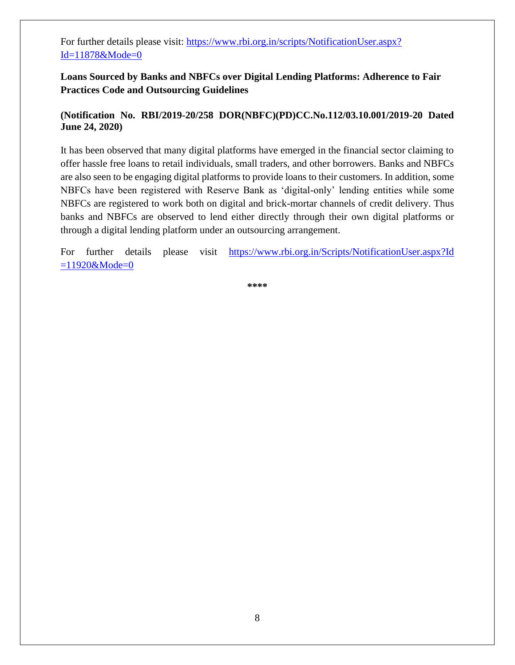For further details please visit: [https://www.rbi.org.in/scripts/NotificationUser.aspx?](https://www.rbi.org.in/scripts/NotificationUser.aspx?%20Id=11878&Mode=0)  [Id=11878&Mode=0](https://www.rbi.org.in/scripts/NotificationUser.aspx?%20Id=11878&Mode=0)

**Loans Sourced by Banks and NBFCs over Digital Lending Platforms: Adherence to Fair Practices Code and Outsourcing Guidelines**

**(Notification No. RBI/2019-20/258 DOR(NBFC)(PD)CC.No.112/03.10.001/2019-20 Dated June 24, 2020)**

It has been observed that many digital platforms have emerged in the financial sector claiming to offer hassle free loans to retail individuals, small traders, and other borrowers. Banks and NBFCs are also seen to be engaging digital platforms to provide loans to their customers. In addition, some NBFCs have been registered with Reserve Bank as 'digital-only' lending entities while some NBFCs are registered to work both on digital and brick-mortar channels of credit delivery. Thus banks and NBFCs are observed to lend either directly through their own digital platforms or through a digital lending platform under an outsourcing arrangement.

For further details please visit [https://www.rbi.org.in/Scripts/NotificationUser.aspx?Id](https://www.rbi.org.in/Scripts/NotificationUser.aspx?Id%20=11920&Mode=0)   $=11920$ &Mode=0

**\*\*\*\***